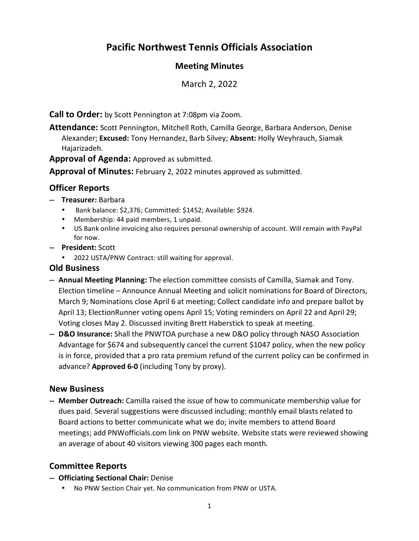# **Pacific Northwest Tennis Officials Association**

# **Meeting Minutes**

March 2, 2022

**Call to Order:** by Scott Pennington at 7:08pm via Zoom.

**Attendance:** Scott Pennington, Mitchell Roth, Camilla George, Barbara Anderson, Denise Alexander; **Excused:** Tony Hernandez, Barb Silvey; **Absent:** Holly Weyhrauch, Siamak Hajarizadeh.

**Approval of Agenda:** Approved as submitted.

**Approval of Minutes:** February 2, 2022 minutes approved as submitted.

## **Officer Reports**

- **‐‐ Treasurer:** Barbara
	- Bank balance: \$2,376; Committed: \$1452; Available: \$924.
	- Membership: 44 paid members, 1 unpaid.
	- US Bank online invoicing also requires personal ownership of account. Will remain with PayPal for now.
- **‐‐ President:** Scott
	- 2022 USTA/PNW Contract: still waiting for approval.

#### **Old Business**

- **‐‐ Annual Meeting Planning:** The election committee consists of Camilla, Siamak and Tony. Election timeline – Announce Annual Meeting and solicit nominations for Board of Directors, March 9; Nominations close April 6 at meeting; Collect candidate info and prepare ballot by April 13; ElectionRunner voting opens April 15; Voting reminders on April 22 and April 29; Voting closes May 2. Discussed inviting Brett Haberstick to speak at meeting.
- **‐‐ D&O Insurance:** Shall the PNWTOA purchase a new D&O policy through NASO Association Advantage for \$674 and subsequently cancel the current \$1047 policy, when the new policy is in force, provided that a pro rata premium refund of the current policy can be confirmed in advance? **Approved 6‐0** (including Tony by proxy).

#### **New Business**

**‐‐ Member Outreach:** Camilla raised the issue of how to communicate membership value for dues paid. Several suggestions were discussed including: monthly email blasts related to Board actions to better communicate what we do; invite members to attend Board meetings; add PNWofficials.com link on PNW website. Website stats were reviewed showing an average of about 40 visitors viewing 300 pages each month.

# **Committee Reports**

- **‐‐ Officiating Sectional Chair:** Denise
	- No PNW Section Chair yet. No communication from PNW or USTA.